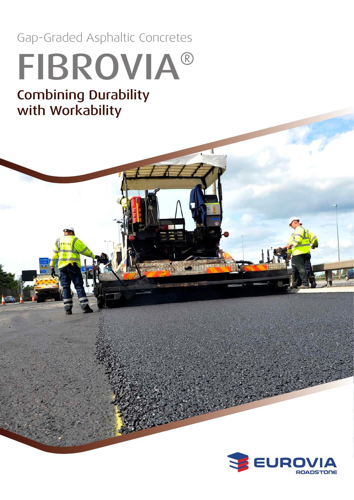Gap-Graded Asphaltic Concretes

# FIBROVIA® Combining Durability with Workability

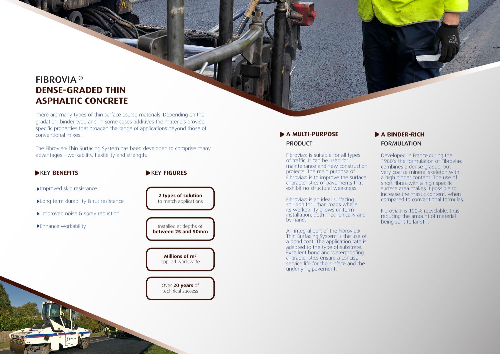## FIBROVIA ®**DENSE-GRADED THIN ASPHALTIC CONCRETE**

There are many types of thin surface course materials. Depending on the gradation, binder type and, in some cases additives the materials provide specific properties that broaden the range of applications beyond those of conventional mixes.

## **A MULTI-PURPOSE** PRODUCT

Fibrovia ® is suitable for all types of traffic; it can be used for maintenance and new construction projects. The main purpose of Fibrovia ® is to improve the surface characteristics of pavements that exhibit no structural weakness.

The Fibrovia ® Thin Surfacing System has been developed to comprise many advantages - workability, flexibility and strength.

### **NEY BENEFITS**

#### **EXEY FIGURES**

Fibrovia ® is an ideal surfacing solution for urban roads where its workability allows uniform installation, both mechanically and by hand.

An integral part of the Fibrovia ® Thin Surfacing System is the use of a bond coat. The application rate is adapted to the type of substrate. Excellent bond and waterproofing characteristics ensure a concise service life for the surface and the underlying pavement.



- Improved skid resistance
- **Long term durability & rut resistance**
- Improved noise & spray reduction
- Enhance workability

**2 types of solution** to match applications

Installed at depths of **between 25 and 50mm**

> **Millions of m²** applied worldwide

Over **20 years** of technical success

## **A BINDER-RICH** FORMULATION

Developed in France during the 1980's the formulation of Fibrovia ® combines a dense graded, but very coarse mineral skeleton with a high binder content. The use of short fibres with a high specific surface area makes it possible to increase the mastic content, when compared to conventional formulas.

Fibrovia ® is 100% recyclable, thus reducing the amount of material being sent to landfill.